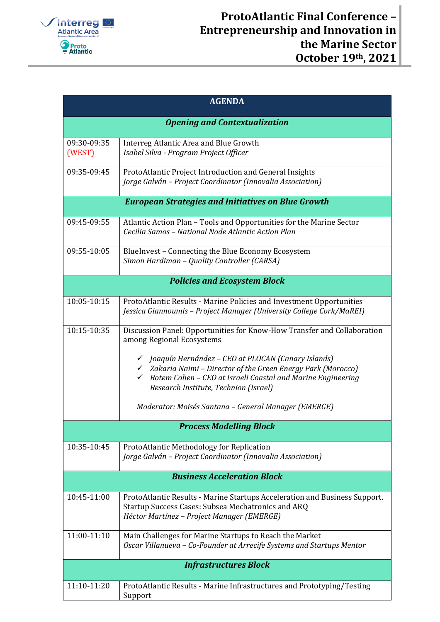

| <b>AGENDA</b>                                             |                                                                                                                                                                                                                                          |  |
|-----------------------------------------------------------|------------------------------------------------------------------------------------------------------------------------------------------------------------------------------------------------------------------------------------------|--|
| <b>Opening and Contextualization</b>                      |                                                                                                                                                                                                                                          |  |
| 09:30-09:35<br>(WEST)                                     | Interreg Atlantic Area and Blue Growth<br>Isabel Silva - Program Project Officer                                                                                                                                                         |  |
| 09:35-09:45                                               | ProtoAtlantic Project Introduction and General Insights<br>Jorge Galván - Project Coordinator (Innovalia Association)                                                                                                                    |  |
| <b>European Strategies and Initiatives on Blue Growth</b> |                                                                                                                                                                                                                                          |  |
| 09:45-09:55                                               | Atlantic Action Plan - Tools and Opportunities for the Marine Sector<br>Cecilia Samos - National Node Atlantic Action Plan                                                                                                               |  |
| 09:55-10:05                                               | BlueInvest - Connecting the Blue Economy Ecosystem<br>Simon Hardiman - Quality Controller (CARSA)                                                                                                                                        |  |
| <b>Policies and Ecosystem Block</b>                       |                                                                                                                                                                                                                                          |  |
| 10:05-10:15                                               | ProtoAtlantic Results - Marine Policies and Investment Opportunities<br>Jessica Giannoumis - Project Manager (University College Cork/MaREI)                                                                                             |  |
| 10:15-10:35                                               | Discussion Panel: Opportunities for Know-How Transfer and Collaboration<br>among Regional Ecosystems                                                                                                                                     |  |
|                                                           | √ Joaquín Hernández – CEO at PLOCAN (Canary Islands)<br>$\checkmark$ Zakaria Naimi – Director of the Green Energy Park (Morocco)<br>Rotem Cohen - CEO at Israeli Coastal and Marine Engineering<br>Research Institute, Technion (Israel) |  |
|                                                           | Moderator: Moisés Santana - General Manager (EMERGE)                                                                                                                                                                                     |  |
| <b>Process Modelling Block</b>                            |                                                                                                                                                                                                                                          |  |
| 10:35-10:45                                               | ProtoAtlantic Methodology for Replication<br>Jorge Galván - Project Coordinator (Innovalia Association)                                                                                                                                  |  |
| <b>Business Acceleration Block</b>                        |                                                                                                                                                                                                                                          |  |
| 10:45-11:00                                               | ProtoAtlantic Results - Marine Startups Acceleration and Business Support.<br>Startup Success Cases: Subsea Mechatronics and ARQ<br>Héctor Martínez - Project Manager (EMERGE)                                                           |  |
| 11:00-11:10                                               | Main Challenges for Marine Startups to Reach the Market<br>Oscar Villanueva - Co-Founder at Arrecife Systems and Startups Mentor                                                                                                         |  |
| <b>Infrastructures Block</b>                              |                                                                                                                                                                                                                                          |  |
| 11:10-11:20                                               | ProtoAtlantic Results - Marine Infrastructures and Prototyping/Testing<br>Support                                                                                                                                                        |  |